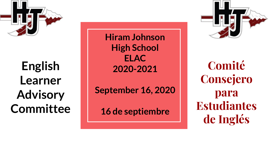

**English Learner Advisory Committee**  **Hiram Johnson High School ELAC 2020-2021**

**September 16, 2020**

**16 de septiembre**



**Comité Consejero para Estudiantes de Inglés**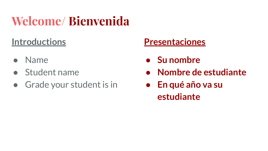# **Welcome/ Bienvenida**

### **Introductions**

- Name
- Student name
- Grade your student is in

### **Presentaciones**

- **● Su nombre**
- **● Nombre de estudiante**
- **● En qué año va su estudiante**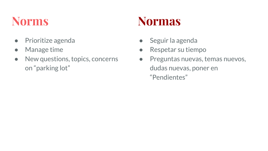- Prioritize agenda
- Manage time
- New questions, topics, concerns on "parking lot"

## **Norms Normas**

- Seguir la agenda
- Respetar su tiempo
- Preguntas nuevas, temas nuevos, dudas nuevas, poner en "Pendientes"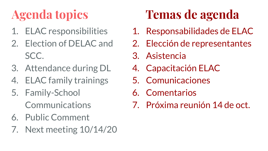- 1. ELAC responsibilities
- 2. Election of DELAC and SCC.
- 3. Attendance during DL
- 4. ELAC family trainings
- 5. Family-School Communications
- 6. Public Comment
- 7. Next meeting 10/14/20

# **Agenda topics Temas de agenda**

- 1. Responsabilidades de ELAC
- 2. Elección de representantes
- 3. Asistencia
- 4. Capacitación ELAC
- 5. Comunicaciones
- 6. Comentarios
- 7. Próxima reunión 14 de oct.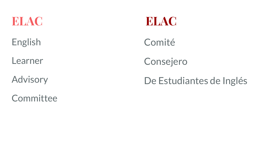

English

Learner

Advisory

**Committee** 

Comité

Consejero

### De Estudiantes de Inglés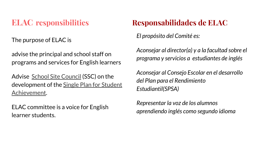The purpose of ELAC is

advise the principal and school staff on programs and services for English learners

Advise [School Site Council](https://holmesms.edlioschool.com/apps/pages/index.jsp?type=d&uREC_ID=309577&pREC_ID=715079) (SSC) on the development of the [Single Plan for Student](https://holmesms.edlioschool.com/apps/pages/index.jsp?type=d&uREC_ID=309578&pREC_ID=715216) [Achievement.](https://holmesms.edlioschool.com/apps/pages/index.jsp?type=d&uREC_ID=309578&pREC_ID=715216)

ELAC committee is a voice for English learner students.

### **ELAC responsibilities Responsabilidades de ELAC**

*El propósito del Comité es:* 

*Aconsejar al director(a) y a la facultad sobre el programa y servicios a estudiantes de inglés*

*Aconsejar al Consejo Escolar en el desarrollo del Plan para el Rendimiento Estudiantil(SPSA)*

*Representar la voz de los alumnos aprendiendo inglés como segundo idioma*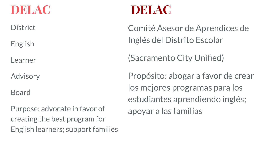**District** 

English

Learner

Advisory

Board

Purpose: advocate in favor of creating the best program for English learners; support families

### **DELAC DELAC**

Comité Asesor de Aprendices de Inglés del Distrito Escolar

(Sacramento City Unified)

Propósito: abogar a favor de crear los mejores programas para los estudiantes aprendiendo inglés; apoyar a las familias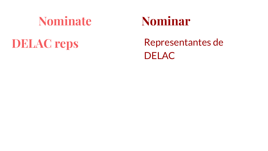### **Nominate Nominar**

**DELAC reps** Representantes de **DELAC**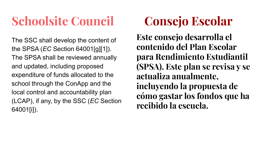# **Schoolsite Council Consejo Escolar**

The SSC shall develop the content of the SPSA (*EC* Section 64001[g][1]). The SPSA shall be reviewed annually and updated, including proposed expenditure of funds allocated to the school through the ConApp and the local control and accountability plan (LCAP), if any, by the SSC (*EC* Section 64001[i]).

**Este consejo desarrolla el contenido del Plan Escolar para Rendimiento Estudiantil (SPSA). Este plan se revisa y se actualiza anualmente, incluyendo la propuesta de cómo gastar los fondos que ha recibido la escuela.**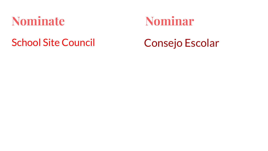### **Nominate Nominar**

### School Site Council Consejo Escolar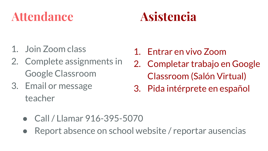## **Attendance Asistencia**

- 1. Join Zoom class
- 2. Complete assignments in Google Classroom
- 3. Email or message teacher
- 1. Entrar en vivo Zoom
- 2. Completar trabajo en Google Classroom (Salón Virtual)
- 3. Pida intérprete en español

- Call / Llamar 916-395-5070
- Report absence on school website / reportar ausencias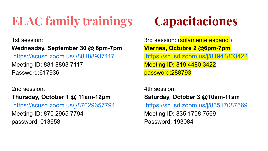# **ELAC family trainings Capacitaciones**

1st session:

### **Wednesday, September 30 @ 6pm-7pm**

[https://scusd.zoom.us/j/88188937117](https://mail.scusd.edu/owa/redir.aspx?C=nGc77-JuL0RwkTjmkMRuoqeyydxOaQvAVndqHNeJpkiqPUOdnVrYCA..&URL=https%3a%2f%2fscusd.zoom.us%2fj%2f88188937117) Meeting ID: 881 8893 7117 Password:617936

2nd session:

**Thursday, October 1 @ 11am-12pm** [https://scusd.zoom.us/j/87029657794](https://mail.scusd.edu/owa/redir.aspx?C=yc1roCeU5_htJLQJPaMe7M3N1FVyq31zex3q-aKJq_iqPUOdnVrYCA..&URL=https%3a%2f%2fscusd.zoom.us%2fj%2f87029657794)

Meeting ID: 870 2965 7794 password: 013658

3rd session: (solamente español) **Viernes, Octubre 2 @6pm-7pm** [https://scusd.zoom.us/j/81944803422](https://mail.scusd.edu/owa/redir.aspx?C=tmp7bDHLs9Fh_-oOWmft5AHhjUTUnwdPI7FSLhjVQJmqPUOdnVrYCA..&URL=https%3a%2f%2fscusd.zoom.us%2fj%2f81944803422) Meeting ID: 819 4480 3422 password:288793

4th session:

### **Saturday, October 3 @10am-11am**

[https://scusd.zoom.us/j/83517087569](https://mail.scusd.edu/owa/redir.aspx?C=GWi1hseV0dFwed0YgIkUyR1FIrEqpBsdFTk4DkJLcjOqPUOdnVrYCA..&URL=https%3a%2f%2fscusd.zoom.us%2fj%2f83517087569)

Meeting ID: 835 1708 7569 Password: 193084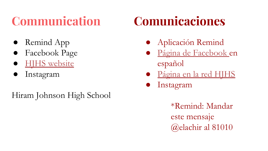- Remind App
- Facebook Page
- **HJHS** website
- Instagram

Hiram Johnson High School

# **Communication Comunicaciones**

- Aplicación Remind
- [Página de Facebook e](https://www.facebook.com/familiasHJHS)n español
- [Página en la red HJHS](https://hiramjohnson.scusd.edu/)
- Instagram

\*Remind: Mandar este mensaje @elachir al 81010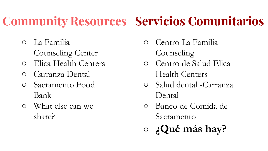# **Community Resources Servicios Comunitarios**

- La Familia Counseling Center
- Elica Health Centers
- Carranza Dental
- Sacramento Food Bank
- What else can we share?
- Centro La Familia Counseling
- Centro de Salud Elica Health Centers
- Salud dental -Carranza Dental
- Banco de Comida de Sacramento
- **¿Qué más hay?**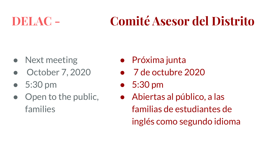# **DELAC - Comité Asesor del Distrito**

- Next meeting
- October 7, 2020
- 5:30 pm
- Open to the public, families
- Próxima junta
- 7 de octubre 2020
- 5:30 pm
- Abiertas al público, a las familias de estudiantes de inglés como segundo idioma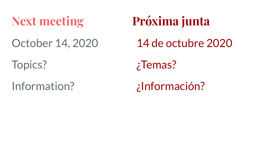### October 14, 2020

Topics?

### Information?

# **Next meeting Próxima junta**

14 de octubre 2020

¿Temas?

¿Información?